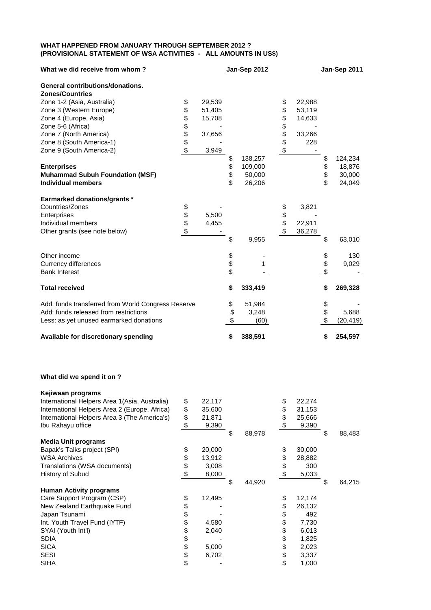## **WHAT HAPPENED FROM JANUARY THROUGH SEPTEMBER 2012 ? (PROVISIONAL STATEMENT OF WSA ACTIVITIES - ALL AMOUNTS IN US\$)**

| What we did receive from whom?                     |          |        | Jan-Sep 2012  |          |        | <b>Jan-Sep 2011</b> |
|----------------------------------------------------|----------|--------|---------------|----------|--------|---------------------|
| General contributions/donations.                   |          |        |               |          |        |                     |
| <b>Zones/Countries</b>                             |          |        |               |          |        |                     |
| Zone 1-2 (Asia, Australia)                         | \$       | 29,539 |               | \$       | 22,988 |                     |
| Zone 3 (Western Europe)                            | \$       | 51,405 |               | \$       | 53,119 |                     |
| Zone 4 (Europe, Asia)                              | \$       | 15,708 |               | \$       | 14,633 |                     |
| Zone 5-6 (Africa)                                  | \$<br>\$ |        |               | \$       |        |                     |
| Zone 7 (North America)                             |          | 37,656 |               | \$<br>\$ | 33,266 |                     |
| Zone 8 (South America-1)                           |          |        |               |          | 228    |                     |
| Zone 9 (South America-2)                           | \$       | 3,949  |               |          |        |                     |
|                                                    |          |        | \$<br>138,257 |          |        | \$<br>124,234       |
| <b>Enterprises</b>                                 |          |        | \$<br>109,000 |          |        | \$<br>18,876        |
| <b>Muhammad Subuh Foundation (MSF)</b>             |          |        | \$<br>50,000  |          |        | \$<br>30,000        |
| <b>Individual members</b>                          |          |        | \$<br>26,206  |          |        | \$<br>24,049        |
| <b>Earmarked donations/grants *</b>                |          |        |               |          |        |                     |
| Countries/Zones                                    | \$       |        |               | \$       | 3,821  |                     |
| Enterprises                                        | \$       | 5,500  |               | \$       |        |                     |
| Individual members                                 | \$       | 4,455  |               | \$       | 22,911 |                     |
| Other grants (see note below)                      | \$       |        |               | \$       | 36,278 |                     |
|                                                    |          |        | \$<br>9,955   |          |        | \$<br>63,010        |
| Other income                                       |          |        |               |          |        | \$<br>130           |
| <b>Currency differences</b>                        |          |        | \$<br>1       |          |        | \$<br>9,029         |
| <b>Bank Interest</b>                               |          |        | \$            |          |        | \$                  |
| <b>Total received</b>                              |          |        | \$<br>333,419 |          |        | \$<br>269,328       |
| Add: funds transferred from World Congress Reserve |          |        | \$<br>51,984  |          |        | \$                  |
| Add: funds released from restrictions              |          |        | \$<br>3,248   |          |        | \$<br>5,688         |
| Less: as yet unused earmarked donations            |          |        | \$<br>(60)    |          |        | \$<br>(20, 419)     |
| Available for discretionary spending               |          |        | \$<br>388,591 |          |        | \$<br>254,597       |

## **What did we spend it on ?**

| Kejiwaan programs                              |              |              |              |              |
|------------------------------------------------|--------------|--------------|--------------|--------------|
| International Helpers Area 1 (Asia, Australia) | \$<br>22,117 |              | \$<br>22,274 |              |
| International Helpers Area 2 (Europe, Africa)  | \$<br>35,600 |              | \$<br>31,153 |              |
| International Helpers Area 3 (The America's)   | \$<br>21,871 |              | \$<br>25,666 |              |
| Ibu Rahayu office                              | \$<br>9,390  |              | \$<br>9,390  |              |
|                                                |              | \$<br>88,978 |              | \$<br>88,483 |
| <b>Media Unit programs</b>                     |              |              |              |              |
| Bapak's Talks project (SPI)                    | \$<br>20,000 |              | \$<br>30,000 |              |
| <b>WSA Archives</b>                            | \$<br>13,912 |              | \$<br>28,882 |              |
| Translations (WSA documents)                   | \$<br>3,008  |              | \$<br>300    |              |
| History of Subud                               | \$<br>8,000  |              | \$<br>5,033  |              |
|                                                |              | \$<br>44,920 |              | \$<br>64,215 |
| <b>Human Activity programs</b>                 |              |              |              |              |
| Care Support Program (CSP)                     | \$<br>12,495 |              | \$<br>12,174 |              |
| New Zealand Earthquake Fund                    | \$           |              | \$<br>26,132 |              |
| Japan Tsunami                                  | \$           |              | \$<br>492    |              |
| Int. Youth Travel Fund (IYTF)                  | \$<br>4,580  |              | \$<br>7,730  |              |
| SYAI (Youth Int'l)                             | \$<br>2,040  |              | \$<br>6,013  |              |
| <b>SDIA</b>                                    | \$           |              | \$<br>1,825  |              |
|                                                |              |              |              |              |
| <b>SICA</b>                                    | \$<br>5,000  |              | \$<br>2,023  |              |
| <b>SESI</b>                                    | \$<br>6,702  |              | \$<br>3,337  |              |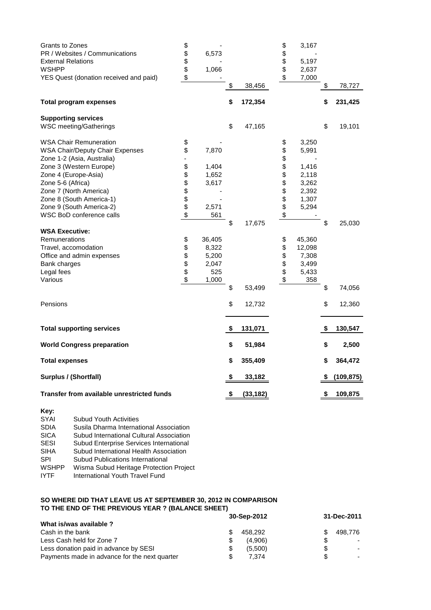| Grants to Zones<br>PR / Websites / Communications<br><b>External Relations</b><br><b>WSHPP</b><br>YES Quest (donation received and paid) | \$<br>\$<br>\$<br>\$<br>\$ | 6,573<br>1,066 |               |           | \$<br>\$<br>\$<br>\$ | 3,167<br>5,197<br>2,637<br>7,000 |    |            |
|------------------------------------------------------------------------------------------------------------------------------------------|----------------------------|----------------|---------------|-----------|----------------------|----------------------------------|----|------------|
|                                                                                                                                          |                            |                | \$            | 38,456    |                      |                                  | \$ | 78,727     |
| <b>Total program expenses</b>                                                                                                            |                            |                | \$            | 172,354   |                      |                                  | \$ | 231,425    |
| <b>Supporting services</b>                                                                                                               |                            |                |               |           |                      |                                  |    |            |
| WSC meeting/Gatherings                                                                                                                   |                            |                | \$            | 47,165    |                      |                                  | \$ | 19,101     |
| <b>WSA Chair Remuneration</b>                                                                                                            | \$                         |                |               |           | \$                   | 3,250                            |    |            |
| <b>WSA Chair/Deputy Chair Expenses</b>                                                                                                   | \$                         | 7,870          |               |           | \$                   | 5,991                            |    |            |
| Zone 1-2 (Asia, Australia)<br>Zone 3 (Western Europe)                                                                                    | \$                         | 1,404          |               |           | <b>8888888</b>       | 1,416                            |    |            |
| Zone 4 (Europe-Asia)                                                                                                                     |                            | 1,652          |               |           |                      | 2,118                            |    |            |
| Zone 5-6 (Africa)                                                                                                                        | \$\$\$\$                   | 3,617          |               |           |                      | 3,262                            |    |            |
| Zone 7 (North America)                                                                                                                   |                            |                |               |           |                      | 2,392                            |    |            |
| Zone 8 (South America-1)                                                                                                                 |                            |                |               |           |                      | 1,307                            |    |            |
| Zone 9 (South America-2)                                                                                                                 |                            | 2,571          |               |           |                      | 5,294                            |    |            |
| WSC BoD conference calls                                                                                                                 | $\ddot{\$}$                | 561            |               |           |                      |                                  |    |            |
|                                                                                                                                          |                            |                | \$            | 17,675    |                      |                                  | \$ | 25,030     |
| <b>WSA Executive:</b>                                                                                                                    |                            |                |               |           |                      |                                  |    |            |
| Remunerations                                                                                                                            | \$                         | 36,405         |               |           | \$                   | 45,360                           |    |            |
| Travel, accomodation                                                                                                                     | \$                         | 8,322          |               |           | \$                   | 12,098                           |    |            |
| Office and admin expenses                                                                                                                | \$                         | 5,200          |               |           |                      | 7,308                            |    |            |
| Bank charges                                                                                                                             |                            | 2,047          |               |           | \$\$                 | 3,499                            |    |            |
| Legal fees                                                                                                                               | \$                         | 525            |               |           |                      | 5,433                            |    |            |
| Various                                                                                                                                  | \$                         | 1,000          |               |           | \$                   | 358                              |    |            |
|                                                                                                                                          |                            |                | \$            | 53,499    |                      |                                  | \$ | 74,056     |
| Pensions                                                                                                                                 |                            |                | \$            | 12,732    |                      |                                  | \$ | 12,360     |
| <b>Total supporting services</b>                                                                                                         |                            |                | \$            | 131,071   |                      |                                  | \$ | 130,547    |
| <b>World Congress preparation</b>                                                                                                        |                            |                | \$            | 51,984    |                      |                                  | \$ | 2,500      |
| <b>Total expenses</b>                                                                                                                    |                            |                | \$            | 355,409   |                      |                                  | \$ | 364,472    |
| Surplus / (Shortfall)                                                                                                                    |                            |                | \$            | 33,182    |                      |                                  | S  | (109, 875) |
| Transfer from available unrestricted funds                                                                                               |                            |                | $\frac{1}{2}$ | (33, 182) |                      |                                  | \$ | 109,875    |

| Key:         |                                          |
|--------------|------------------------------------------|
| <b>SYAI</b>  | <b>Subud Youth Activities</b>            |
| <b>SDIA</b>  | Susila Dharma International Association  |
| <b>SICA</b>  | Subud International Cultural Association |
| <b>SESI</b>  | Subud Enterprise Services International  |
| <b>SIHA</b>  | Subud International Health Association   |
| SPI          | Subud Publications International         |
| <b>WSHPP</b> | Wisma Subud Heritage Protection Project  |
| IYTF         | International Youth Travel Fund          |

## **SO WHERE DID THAT LEAVE US AT SEPTEMBER 30, 2012 IN COMPARISON TO THE END OF THE PREVIOUS YEAR ? (BALANCE SHEET)**

|                                               |     | 30-Sep-2012 | 31-Dec-2011 |         |  |
|-----------------------------------------------|-----|-------------|-------------|---------|--|
| What is/was available ?                       |     |             |             |         |  |
| Cash in the bank                              | S.  | 458.292     |             | 498.776 |  |
| Less Cash held for Zone 7                     | S   | (4.906)     |             |         |  |
| Less donation paid in advance by SESI         | \$. | (5.500)     | S           |         |  |
| Payments made in advance for the next quarter | £.  | 7.374       | \$          |         |  |